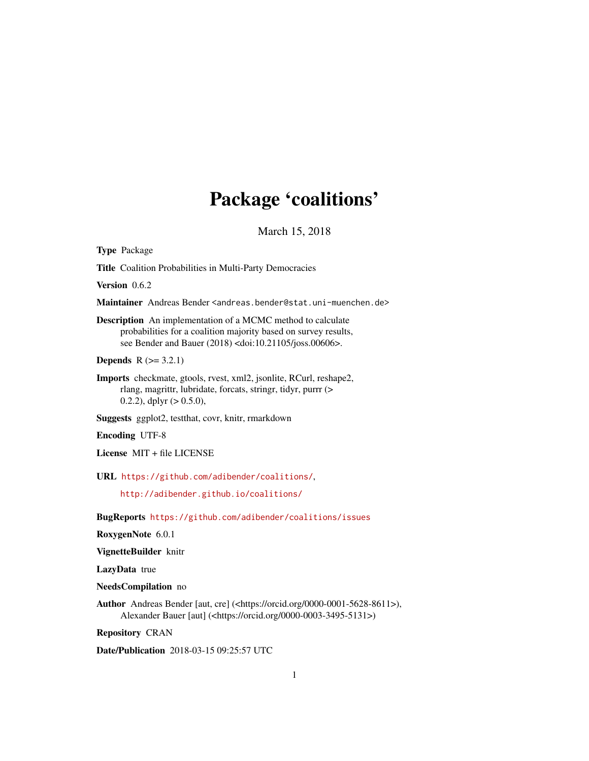# Package 'coalitions'

March 15, 2018

<span id="page-0-0"></span>Type Package

Title Coalition Probabilities in Multi-Party Democracies

Version 0.6.2

Maintainer Andreas Bender <andreas.bender@stat.uni-muenchen.de>

Description An implementation of a MCMC method to calculate probabilities for a coalition majority based on survey results, see Bender and Bauer (2018) <doi:10.21105/joss.00606>.

**Depends**  $R (= 3.2.1)$ 

Imports checkmate, gtools, rvest, xml2, jsonlite, RCurl, reshape2, rlang, magrittr, lubridate, forcats, stringr, tidyr, purrr (> 0.2.2), dplyr (> 0.5.0),

Suggests ggplot2, testthat, covr, knitr, rmarkdown

Encoding UTF-8

License MIT + file LICENSE

URL <https://github.com/adibender/coalitions/>,

<http://adibender.github.io/coalitions/>

BugReports <https://github.com/adibender/coalitions/issues>

RoxygenNote 6.0.1

VignetteBuilder knitr

LazyData true

NeedsCompilation no

Author Andreas Bender [aut, cre] (<https://orcid.org/0000-0001-5628-8611>), Alexander Bauer [aut] (<https://orcid.org/0000-0003-3495-5131>)

Repository CRAN

Date/Publication 2018-03-15 09:25:57 UTC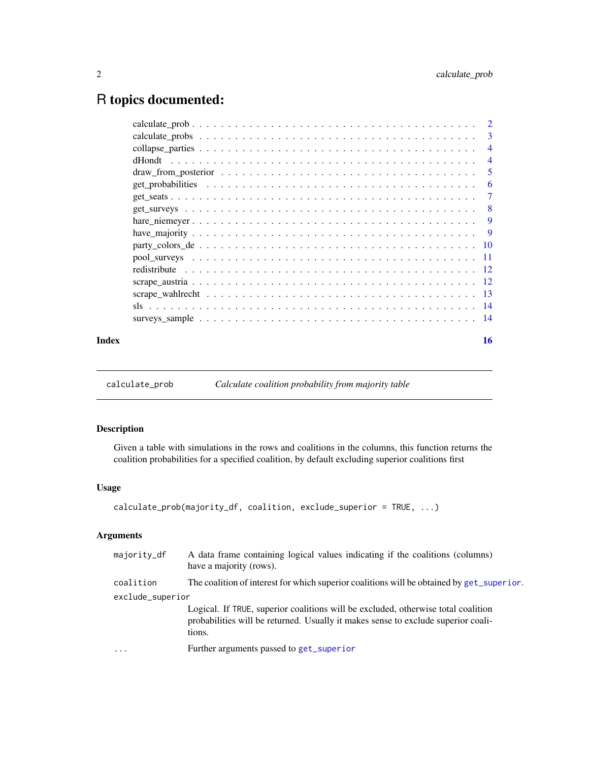# <span id="page-1-0"></span>R topics documented:

|       | $\overline{4}$ |
|-------|----------------|
|       | $\overline{4}$ |
|       |                |
|       | -6             |
|       |                |
|       |                |
|       |                |
|       |                |
|       |                |
|       |                |
|       |                |
|       |                |
|       |                |
|       |                |
|       |                |
| Index | 16             |

<span id="page-1-1"></span>calculate\_prob *Calculate coalition probability from majority table*

# Description

Given a table with simulations in the rows and coalitions in the columns, this function returns the coalition probabilities for a specified coalition, by default excluding superior coalitions first

# Usage

```
calculate_prob(majority_df, coalition, exclude_superior = TRUE, ...)
```
# Arguments

| majority_df      | A data frame containing logical values indicating if the coalitions (columns)<br>have a majority (rows).                                                                         |
|------------------|----------------------------------------------------------------------------------------------------------------------------------------------------------------------------------|
| coalition        | The coalition of interest for which superior coalitions will be obtained by get_superior.                                                                                        |
| exclude_superior |                                                                                                                                                                                  |
|                  | Logical. If TRUE, superior coalitions will be excluded, otherwise total coalition<br>probabilities will be returned. Usually it makes sense to exclude superior coali-<br>tions. |
| $\ddotsc$        | Further arguments passed to get_superior                                                                                                                                         |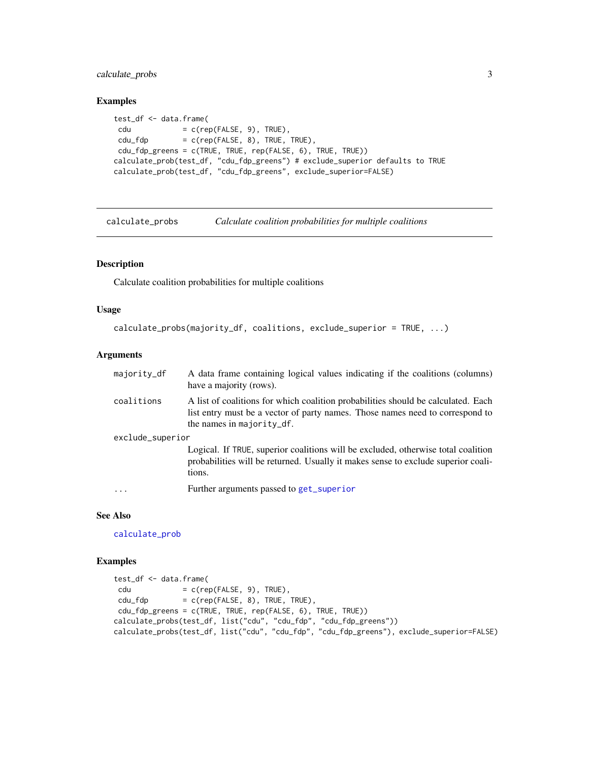<span id="page-2-0"></span>calculate\_probs 3

#### Examples

```
test_df <- data.frame(
cdu = c(rep(FALSE, 9), TRUE),cdu_fdp = c(rep(FALE, 8), TRUE, TRUE),cdu_fdp_greens = c(TRUE, TRUE, rep(FALSE, 6), TRUE, TRUE))
calculate_prob(test_df, "cdu_fdp_greens") # exclude_superior defaults to TRUE
calculate_prob(test_df, "cdu_fdp_greens", exclude_superior=FALSE)
```
calculate\_probs *Calculate coalition probabilities for multiple coalitions*

# Description

Calculate coalition probabilities for multiple coalitions

#### Usage

```
calculate_probs(majority_df, coalitions, exclude_superior = TRUE, ...)
```
#### **Arguments**

| majority_df      | A data frame containing logical values indicating if the coalitions (columns)<br>have a majority (rows).                                                                                           |
|------------------|----------------------------------------------------------------------------------------------------------------------------------------------------------------------------------------------------|
| coalitions       | A list of coalitions for which coalition probabilities should be calculated. Each<br>list entry must be a vector of party names. Those names need to correspond to<br>the names in majority $df$ . |
| exclude_superior |                                                                                                                                                                                                    |
|                  | Logical. If TRUE, superior coalitions will be excluded, otherwise total coalition<br>probabilities will be returned. Usually it makes sense to exclude superior coali-<br>tions.                   |
| $\ddotsc$        | Further arguments passed to get_superior                                                                                                                                                           |

# See Also

[calculate\\_prob](#page-1-1)

```
test_df <- data.frame(
cdu = c(rep(FALE, 9), TRUE),cdu_fdp = c(rep(FALE, 8), TRUE, TRUE),cdu_fdp_greens = c(TRUE, TRUE, rep(FALSE, 6), TRUE, TRUE))
calculate_probs(test_df, list("cdu", "cdu_fdp", "cdu_fdp_greens"))
calculate_probs(test_df, list("cdu", "cdu_fdp", "cdu_fdp_greens"), exclude_superior=FALSE)
```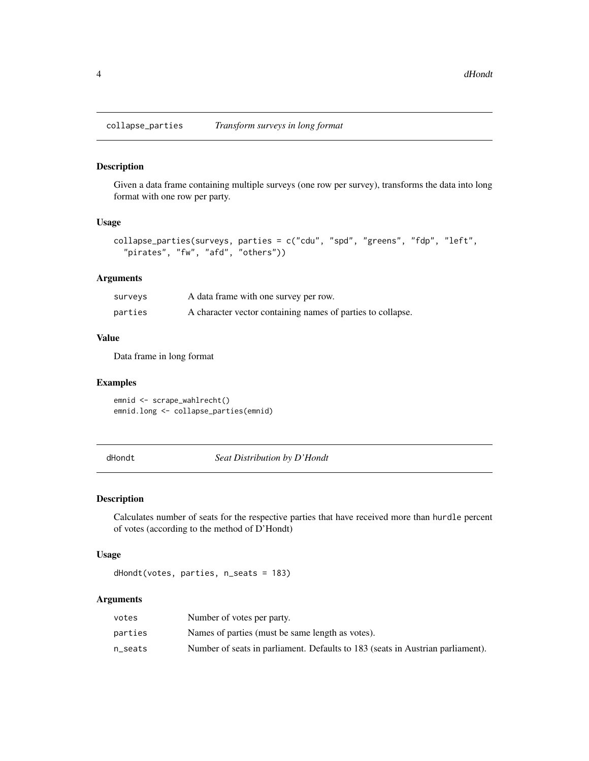<span id="page-3-0"></span>collapse\_parties *Transform surveys in long format*

#### Description

Given a data frame containing multiple surveys (one row per survey), transforms the data into long format with one row per party.

#### Usage

```
collapse_parties(surveys, parties = c("cdu", "spd", "greens", "fdp", "left",
  "pirates", "fw", "afd", "others"))
```
# Arguments

| surveys | A data frame with one survey per row.                       |
|---------|-------------------------------------------------------------|
| parties | A character vector containing names of parties to collapse. |

# Value

Data frame in long format

#### Examples

emnid <- scrape\_wahlrecht() emnid.long <- collapse\_parties(emnid)

<span id="page-3-1"></span>dHondt *Seat Distribution by D'Hondt*

#### Description

Calculates number of seats for the respective parties that have received more than hurdle percent of votes (according to the method of D'Hondt)

# Usage

```
dHondt(votes, parties, n_seats = 183)
```
# Arguments

| votes   | Number of votes per party.                                                     |
|---------|--------------------------------------------------------------------------------|
| parties | Names of parties (must be same length as votes).                               |
| n seats | Number of seats in parliament. Defaults to 183 (seats in Austrian parliament). |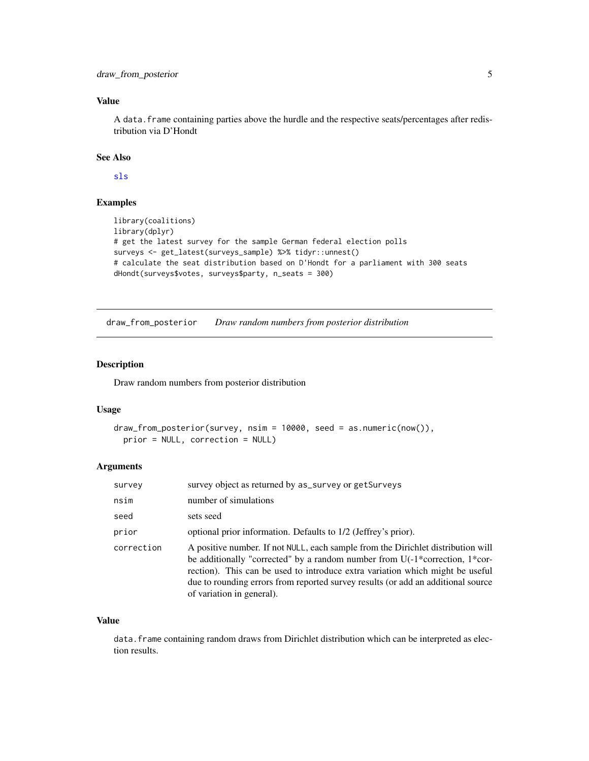# <span id="page-4-0"></span>Value

A data.frame containing parties above the hurdle and the respective seats/percentages after redistribution via D'Hondt

# See Also

[sls](#page-13-1)

#### Examples

```
library(coalitions)
library(dplyr)
# get the latest survey for the sample German federal election polls
surveys <- get_latest(surveys_sample) %>% tidyr::unnest()
# calculate the seat distribution based on D'Hondt for a parliament with 300 seats
dHondt(surveys$votes, surveys$party, n_seats = 300)
```
<span id="page-4-1"></span>draw\_from\_posterior *Draw random numbers from posterior distribution*

# Description

Draw random numbers from posterior distribution

#### Usage

```
draw_from_posterior(survey, nsim = 10000, seed = as.numeric(now()),
 prior = NULL, correction = NULL)
```
# **Arguments**

| survey     | survey object as returned by as_survey or getSurveys                                                                                                                                                                                                                                                                                                                  |
|------------|-----------------------------------------------------------------------------------------------------------------------------------------------------------------------------------------------------------------------------------------------------------------------------------------------------------------------------------------------------------------------|
| nsim       | number of simulations                                                                                                                                                                                                                                                                                                                                                 |
| seed       | sets seed                                                                                                                                                                                                                                                                                                                                                             |
| prior      | optional prior information. Defaults to 1/2 (Jeffrey's prior).                                                                                                                                                                                                                                                                                                        |
| correction | A positive number. If not NULL, each sample from the Dirichlet distribution will<br>be additionally "corrected" by a random number from $U(-1)$ *correction, 1*cor-<br>rection). This can be used to introduce extra variation which might be useful<br>due to rounding errors from reported survey results (or add an additional source<br>of variation in general). |

# Value

data. frame containing random draws from Dirichlet distribution which can be interpreted as election results.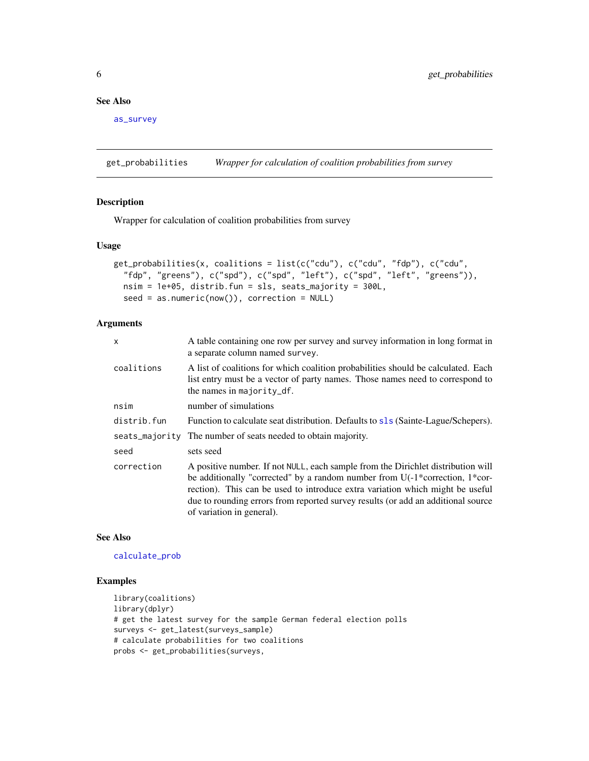# <span id="page-5-0"></span>See Also

[as\\_survey](#page-0-0)

get\_probabilities *Wrapper for calculation of coalition probabilities from survey*

#### Description

Wrapper for calculation of coalition probabilities from survey

#### Usage

```
get_probabilities(x, coalitions = list(c("cdu"), c("cdu", "fdp"), c("cdu",
  "fdp", "greens"), c("spd"), c("spd", "left"), c("spd", "left", "greens")),
 nsim = 1e+05, distrib.fun = sls, seats_majority = 300L,
 seed = as.numeric(now()), correction = NULL)
```
# Arguments

| $\mathsf{x}$ | A table containing one row per survey and survey information in long format in<br>a separate column named survey.                                                                                                                                                                                                                                                     |
|--------------|-----------------------------------------------------------------------------------------------------------------------------------------------------------------------------------------------------------------------------------------------------------------------------------------------------------------------------------------------------------------------|
| coalitions   | A list of coalitions for which coalition probabilities should be calculated. Each<br>list entry must be a vector of party names. Those names need to correspond to<br>the names in majority_df.                                                                                                                                                                       |
| nsim         | number of simulations                                                                                                                                                                                                                                                                                                                                                 |
| distrib.fun  | Function to calculate seat distribution. Defaults to s1s (Sainte-Lague/Schepers).                                                                                                                                                                                                                                                                                     |
|              | seats_majority The number of seats needed to obtain majority.                                                                                                                                                                                                                                                                                                         |
| seed         | sets seed                                                                                                                                                                                                                                                                                                                                                             |
| correction   | A positive number. If not NULL, each sample from the Dirichlet distribution will<br>be additionally "corrected" by a random number from $U(-1)$ *correction, 1*cor-<br>rection). This can be used to introduce extra variation which might be useful<br>due to rounding errors from reported survey results (or add an additional source<br>of variation in general). |

#### See Also

#### [calculate\\_prob](#page-1-1)

```
library(coalitions)
library(dplyr)
# get the latest survey for the sample German federal election polls
surveys <- get_latest(surveys_sample)
# calculate probabilities for two coalitions
probs <- get_probabilities(surveys,
```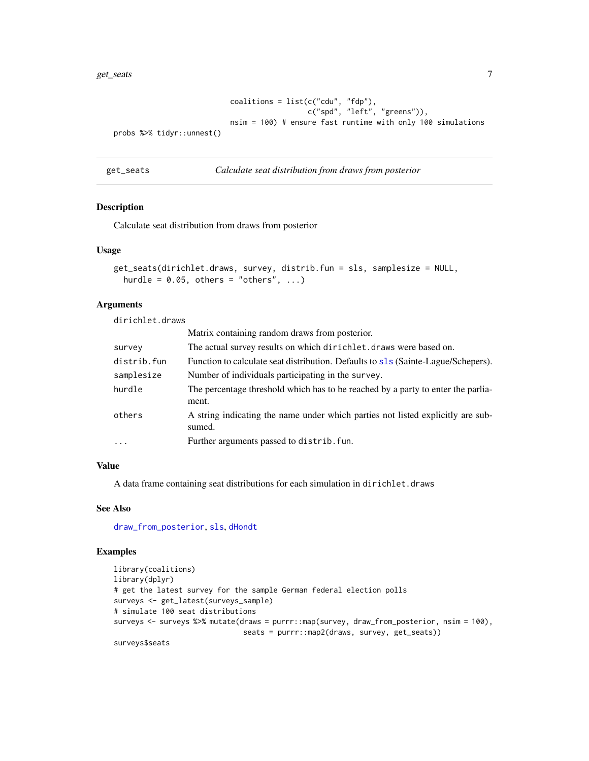#### <span id="page-6-0"></span>get\_seats 7

```
coalitions = list(c("cdu", "fdp"),c("spd", "left", "greens")),
                          nsim = 100) # ensure fast runtime with only 100 simulations
probs %>% tidyr::unnest()
```
<span id="page-6-1"></span>get\_seats *Calculate seat distribution from draws from posterior*

#### Description

Calculate seat distribution from draws from posterior

#### Usage

```
get_seats(dirichlet.draws, survey, distrib.fun = sls, samplesize = NULL,
 hurdle = 0.05, others = "others", ...)
```
# Arguments

dirichlet.draws

|             | Matrix containing random draws from posterior.                                            |
|-------------|-------------------------------------------------------------------------------------------|
| survey      | The actual survey results on which dirichlet. draws were based on.                        |
| distrib.fun | Function to calculate seat distribution. Defaults to sls (Sainte-Lague/Schepers).         |
| samplesize  | Number of individuals participating in the survey.                                        |
| hurdle      | The percentage threshold which has to be reached by a party to enter the parlia-<br>ment. |
| others      | A string indicating the name under which parties not listed explicitly are sub-<br>sumed. |
| $\ddots$ .  | Further arguments passed to distrib. fun.                                                 |
|             |                                                                                           |

# Value

A data frame containing seat distributions for each simulation in dirichlet.draws

### See Also

[draw\\_from\\_posterior](#page-4-1), [sls](#page-13-1), [dHondt](#page-3-1)

```
library(coalitions)
library(dplyr)
# get the latest survey for the sample German federal election polls
surveys <- get_latest(surveys_sample)
# simulate 100 seat distributions
surveys <- surveys %>% mutate(draws = purrr::map(survey, draw_from_posterior, nsim = 100),
                              seats = purrr::map2(draws, survey, get_seats))
surveys$seats
```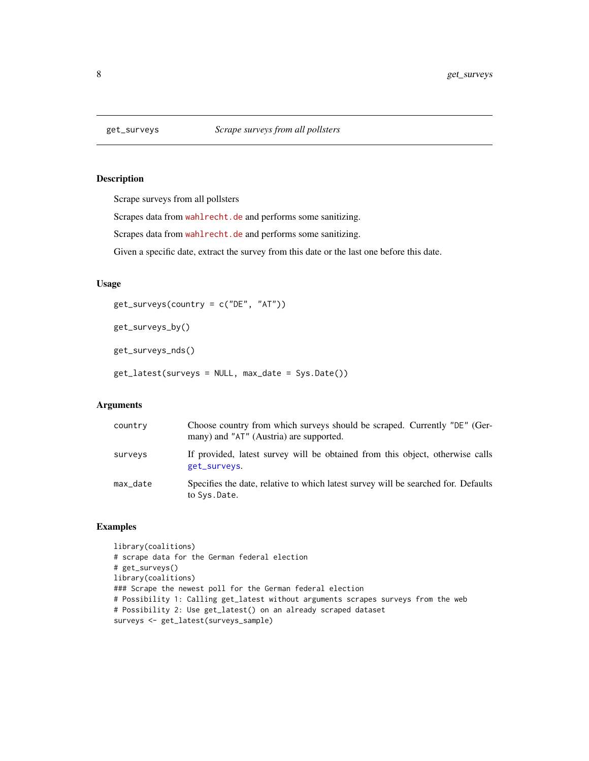<span id="page-7-1"></span><span id="page-7-0"></span>

Scrape surveys from all pollsters

Scrapes data from <wahlrecht.de> and performs some sanitizing.

Scrapes data from <wahlrecht.de> and performs some sanitizing.

Given a specific date, extract the survey from this date or the last one before this date.

#### Usage

get\_surveys(country = c("DE", "AT"))

get\_surveys\_by()

get\_surveys\_nds()

get\_latest(surveys = NULL, max\_date = Sys.Date())

# Arguments

| country  | Choose country from which surveys should be scraped. Currently "DE" (Ger-<br>many) and "AT" (Austria) are supported. |
|----------|----------------------------------------------------------------------------------------------------------------------|
| surveys  | If provided, latest survey will be obtained from this object, otherwise calls<br>get_surveys.                        |
| max_date | Specifies the date, relative to which latest survey will be searched for. Defaults<br>to Sys.Date.                   |

```
library(coalitions)
# scrape data for the German federal election
# get_surveys()
library(coalitions)
### Scrape the newest poll for the German federal election
# Possibility 1: Calling get_latest without arguments scrapes surveys from the web
# Possibility 2: Use get_latest() on an already scraped dataset
surveys <- get_latest(surveys_sample)
```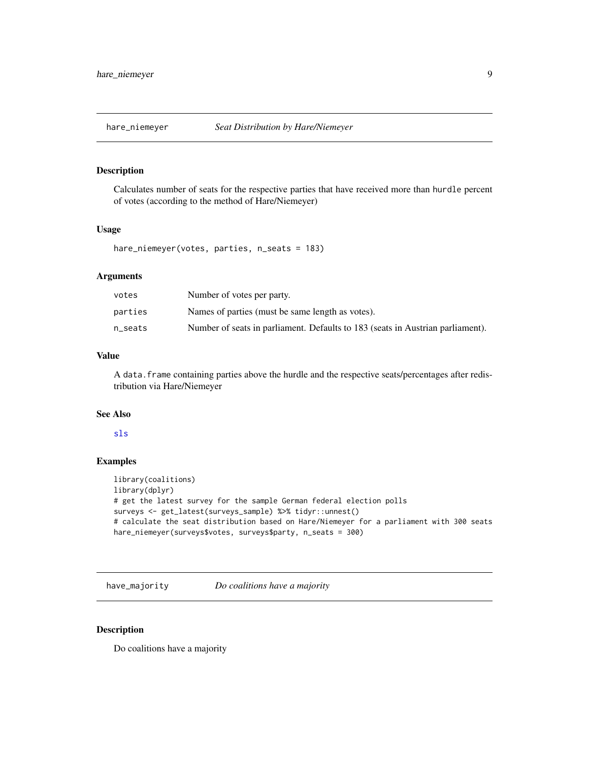<span id="page-8-0"></span>

Calculates number of seats for the respective parties that have received more than hurdle percent of votes (according to the method of Hare/Niemeyer)

#### Usage

hare\_niemeyer(votes, parties, n\_seats = 183)

#### Arguments

| votes   | Number of votes per party.                                                     |
|---------|--------------------------------------------------------------------------------|
| parties | Names of parties (must be same length as votes).                               |
| n seats | Number of seats in parliament. Defaults to 183 (seats in Austrian parliament). |

# Value

A data.frame containing parties above the hurdle and the respective seats/percentages after redistribution via Hare/Niemeyer

#### See Also

#### [sls](#page-13-1)

# Examples

```
library(coalitions)
library(dplyr)
# get the latest survey for the sample German federal election polls
surveys <- get_latest(surveys_sample) %>% tidyr::unnest()
# calculate the seat distribution based on Hare/Niemeyer for a parliament with 300 seats
hare_niemeyer(surveys$votes, surveys$party, n_seats = 300)
```
have\_majority *Do coalitions have a majority*

# Description

Do coalitions have a majority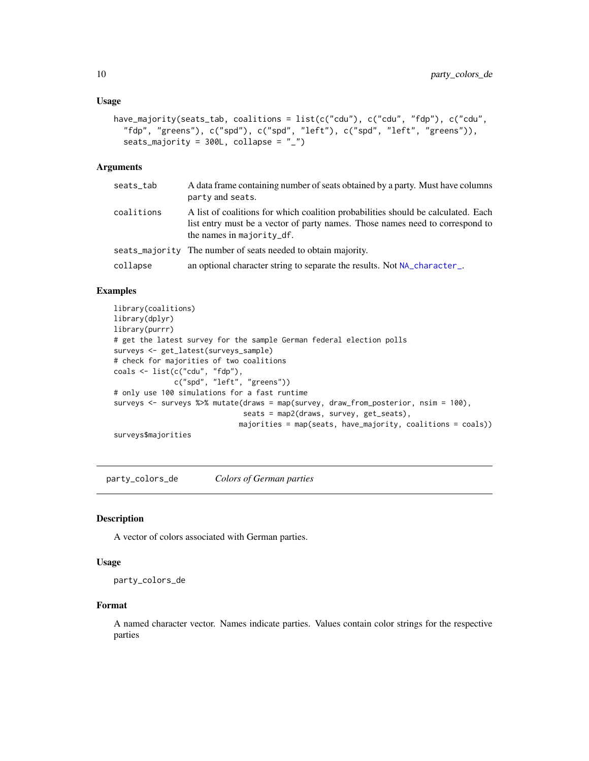#### <span id="page-9-0"></span>Usage

```
have_majority(seats_tab, coalitions = list(c("cdu"), c("cdu", "fdp"), c("cdu",
  "fdp", "greens"), c("spd"), c("spd", "left"), c("spd", "left", "greens")),
  seats_majority = 300L, collapse = "_")
```
#### Arguments

| seats_tab  | A data frame containing number of seats obtained by a party. Must have columns<br>party and seats.                                                                                              |
|------------|-------------------------------------------------------------------------------------------------------------------------------------------------------------------------------------------------|
| coalitions | A list of coalitions for which coalition probabilities should be calculated. Each<br>list entry must be a vector of party names. Those names need to correspond to<br>the names in majority_df. |
|            | seats_majority The number of seats needed to obtain majority.                                                                                                                                   |
| collapse   | an optional character string to separate the results. Not NA_character_.                                                                                                                        |

# Examples

```
library(coalitions)
library(dplyr)
library(purrr)
# get the latest survey for the sample German federal election polls
surveys <- get_latest(surveys_sample)
# check for majorities of two coalitions
coals <- list(c("cdu", "fdp"),
              c("spd", "left", "greens"))
# only use 100 simulations for a fast runtime
surveys <- surveys %>% mutate(draws = map(survey, draw_from_posterior, nsim = 100),
                              seats = map2(draws, survey, get_seats),
                             majorities = map(seats, have_majority, coalitions = coals))
surveys$majorities
```
party\_colors\_de *Colors of German parties*

# Description

A vector of colors associated with German parties.

#### Usage

```
party_colors_de
```
#### Format

A named character vector. Names indicate parties. Values contain color strings for the respective parties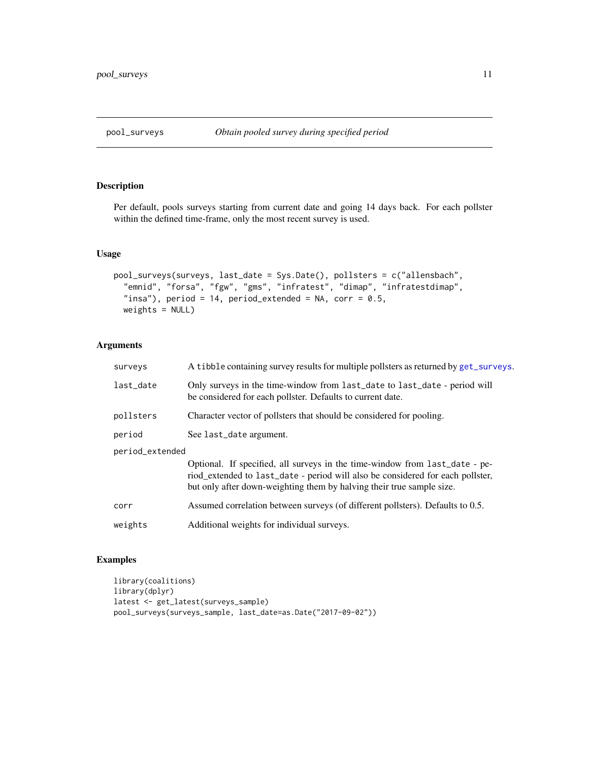<span id="page-10-0"></span>

Per default, pools surveys starting from current date and going 14 days back. For each pollster within the defined time-frame, only the most recent survey is used.

# Usage

```
pool_surveys(surveys, last_date = Sys.Date(), pollsters = c("allensbach",
  "emnid", "forsa", "fgw", "gms", "infratest", "dimap", "infratestdimap",
 "insa"), period = 14, period_extended = NA, corr = 0.5,
 weights = NULL)
```
# Arguments

| surveys         | A tibble containing survey results for multiple pollsters as returned by get_surveys.                                                                                                                                                  |  |
|-----------------|----------------------------------------------------------------------------------------------------------------------------------------------------------------------------------------------------------------------------------------|--|
| last_date       | Only surveys in the time-window from last_date to last_date - period will<br>be considered for each pollster. Defaults to current date.                                                                                                |  |
| pollsters       | Character vector of pollsters that should be considered for pooling.                                                                                                                                                                   |  |
| period          | See last_date argument.                                                                                                                                                                                                                |  |
| period_extended |                                                                                                                                                                                                                                        |  |
|                 | Optional. If specified, all surveys in the time-window from last_date - pe-<br>riod_extended to last_date - period will also be considered for each pollster,<br>but only after down-weighting them by halving their true sample size. |  |
| corr            | Assumed correlation between surveys (of different pollsters). Defaults to 0.5.                                                                                                                                                         |  |
| weights         | Additional weights for individual surveys.                                                                                                                                                                                             |  |
|                 |                                                                                                                                                                                                                                        |  |

```
library(coalitions)
library(dplyr)
latest <- get_latest(surveys_sample)
pool_surveys(surveys_sample, last_date=as.Date("2017-09-02"))
```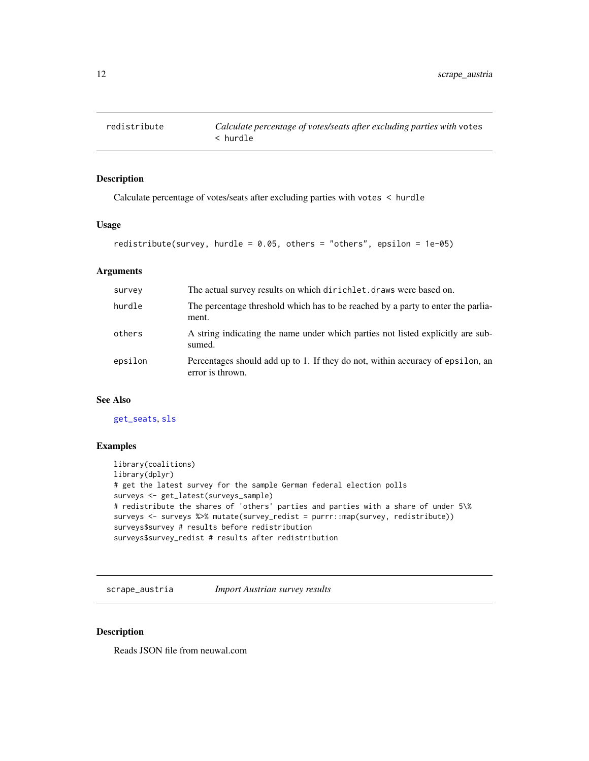<span id="page-11-0"></span>Calculate percentage of votes/seats after excluding parties with votes < hurdle

#### Usage

```
redistribute(survey, hurdle = 0.05, others = "others", epsilon = 1e-05)
```
# Arguments

| survey  | The actual survey results on which dirichlet. draws were based on.                                 |
|---------|----------------------------------------------------------------------------------------------------|
| hurdle  | The percentage threshold which has to be reached by a party to enter the parlia-<br>ment.          |
| others  | A string indicating the name under which parties not listed explicitly are sub-<br>sumed.          |
| epsilon | Percentages should add up to 1. If they do not, within accuracy of epsilon, an<br>error is thrown. |

# See Also

[get\\_seats](#page-6-1), [sls](#page-13-1)

#### Examples

```
library(coalitions)
library(dplyr)
# get the latest survey for the sample German federal election polls
surveys <- get_latest(surveys_sample)
# redistribute the shares of 'others' parties and parties with a share of under 5\%
surveys <- surveys %>% mutate(survey_redist = purrr::map(survey, redistribute))
surveys$survey # results before redistribution
surveys$survey_redist # results after redistribution
```
scrape\_austria *Import Austrian survey results*

# Description

Reads JSON file from neuwal.com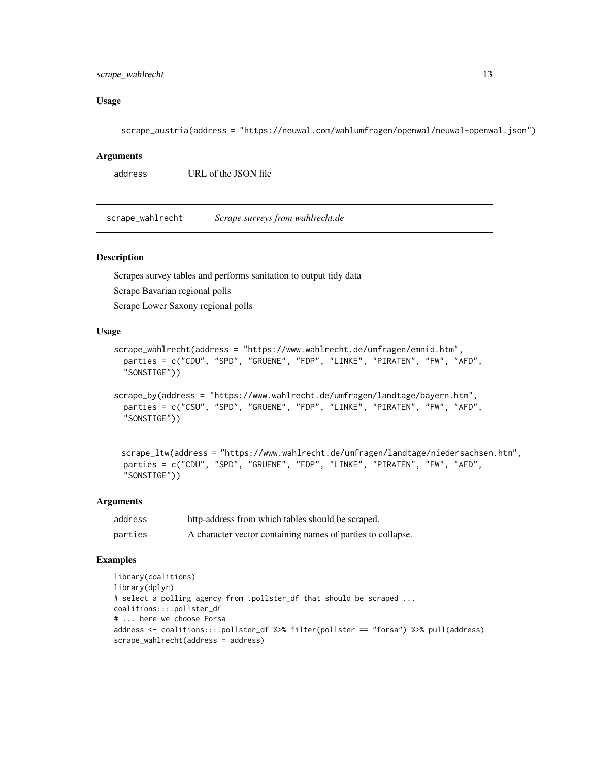# <span id="page-12-0"></span>scrape\_wahlrecht 13

# Usage

scrape\_austria(address = "https://neuwal.com/wahlumfragen/openwal/neuwal-openwal.json")

#### Arguments

```
address URL of the JSON file
```
scrape\_wahlrecht *Scrape surveys from wahlrecht.de*

#### Description

Scrapes survey tables and performs sanitation to output tidy data

Scrape Bavarian regional polls

Scrape Lower Saxony regional polls

#### Usage

```
scrape_wahlrecht(address = "https://www.wahlrecht.de/umfragen/emnid.htm",
 parties = c("CDU", "SPD", "GRUENE", "FDP", "LINKE", "PIRATEN", "FW", "AFD",
  "SONSTIGE"))
```

```
scrape_by(address = "https://www.wahlrecht.de/umfragen/landtage/bayern.htm",
 parties = c("CSU", "SPD", "GRUENE", "FDP", "LINKE", "PIRATEN", "FW", "AFD",
 "SONSTIGE"))
```

```
scrape_ltw(address = "https://www.wahlrecht.de/umfragen/landtage/niedersachsen.htm",
parties = c("CDU", "SPD", "GRUENE", "FDP", "LINKE", "PIRATEN", "FW", "AFD",
"SONSTIGE"))
```
#### Arguments

| address | http-address from which tables should be scraped.           |
|---------|-------------------------------------------------------------|
| parties | A character vector containing names of parties to collapse. |

```
library(coalitions)
library(dplyr)
# select a polling agency from .pollster_df that should be scraped ...
coalitions:::.pollster_df
# ... here we choose Forsa
address <- coalitions:::.pollster_df %>% filter(pollster == "forsa") %>% pull(address)
scrape_wahlrecht(address = address)
```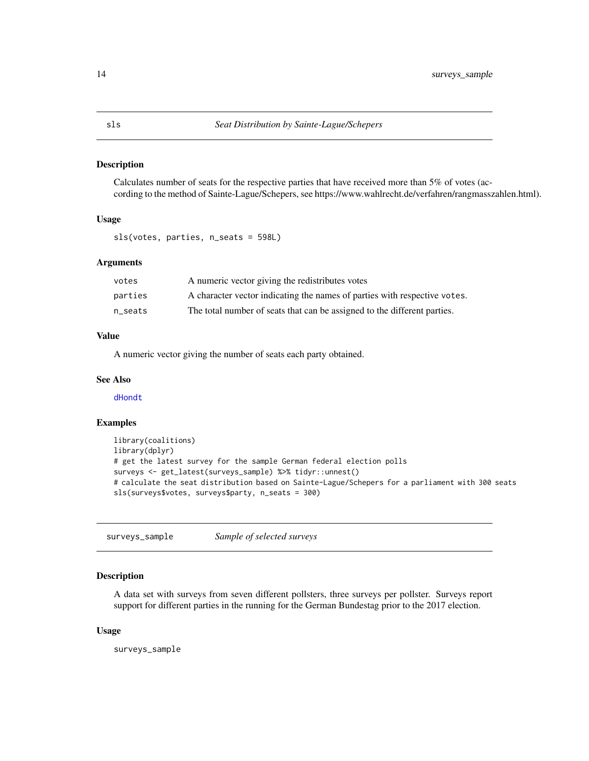<span id="page-13-1"></span><span id="page-13-0"></span>Calculates number of seats for the respective parties that have received more than 5% of votes (according to the method of Sainte-Lague/Schepers, see https://www.wahlrecht.de/verfahren/rangmasszahlen.html).

# Usage

sls(votes, parties, n\_seats = 598L)

#### Arguments

| votes   | A numeric vector giving the redistributes votes                           |
|---------|---------------------------------------------------------------------------|
| parties | A character vector indicating the names of parties with respective votes. |
| n seats | The total number of seats that can be assigned to the different parties.  |

# Value

A numeric vector giving the number of seats each party obtained.

# See Also

[dHondt](#page-3-1)

# Examples

```
library(coalitions)
library(dplyr)
# get the latest survey for the sample German federal election polls
surveys <- get_latest(surveys_sample) %>% tidyr::unnest()
# calculate the seat distribution based on Sainte-Lague/Schepers for a parliament with 300 seats
sls(surveys$votes, surveys$party, n_seats = 300)
```
surveys\_sample *Sample of selected surveys*

# Description

A data set with surveys from seven different pollsters, three surveys per pollster. Surveys report support for different parties in the running for the German Bundestag prior to the 2017 election.

#### Usage

surveys\_sample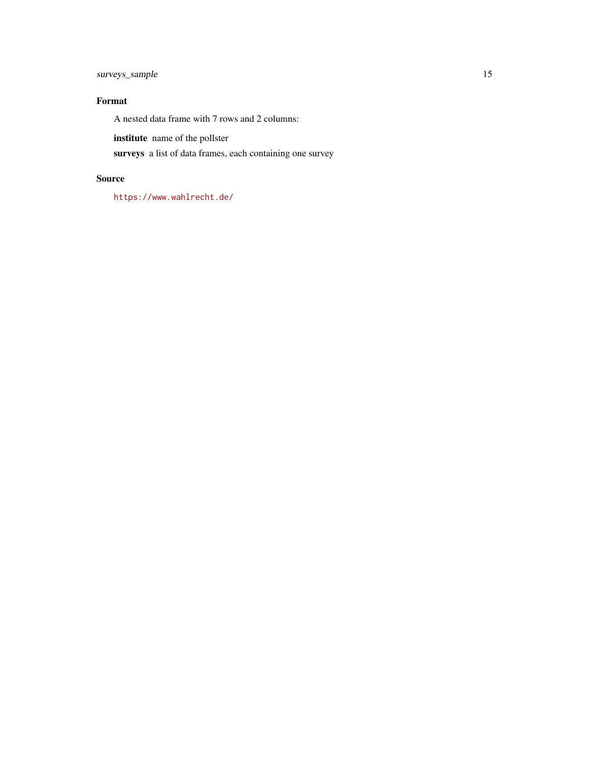surveys\_sample 15

# Format

A nested data frame with 7 rows and 2 columns:

institute name of the pollster

surveys a list of data frames, each containing one survey

# Source

<https://www.wahlrecht.de/>